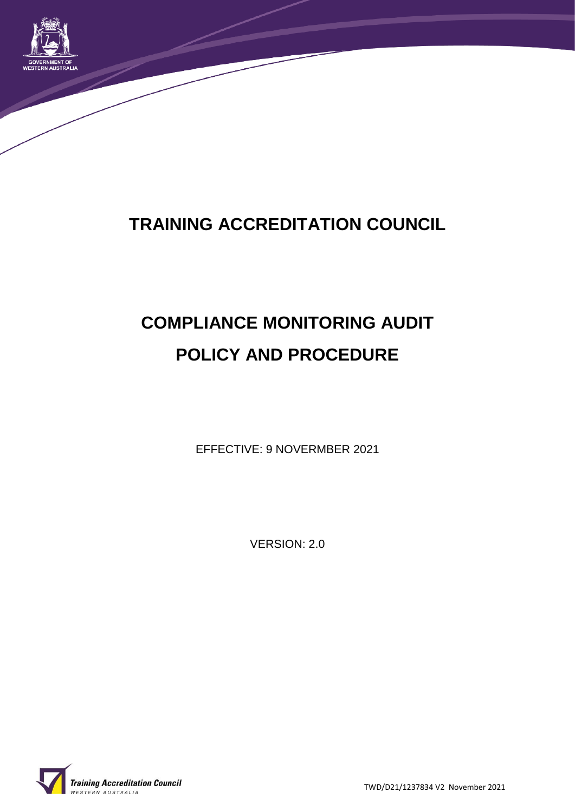

## **TRAINING ACCREDITATION COUNCIL**

# **COMPLIANCE MONITORING AUDIT POLICY AND PROCEDURE**

EFFECTIVE: 9 NOVERMBER 2021

VERSION: 2.0

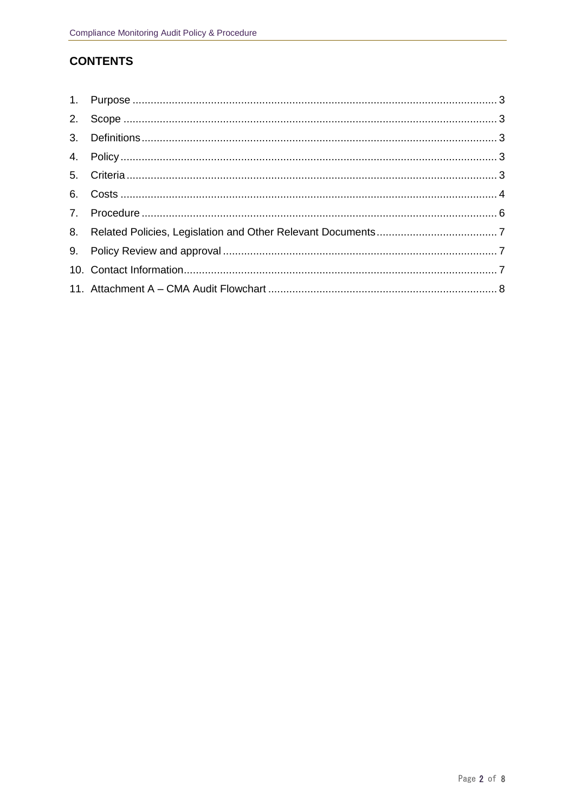## **CONTENTS**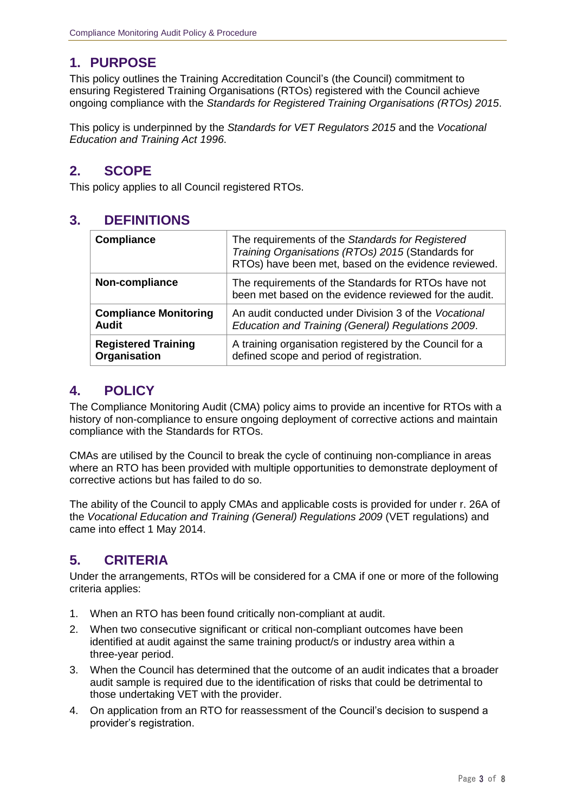## **1. PURPOSE**

This policy outlines the Training Accreditation Council's (the Council) commitment to ensuring Registered Training Organisations (RTOs) registered with the Council achieve ongoing compliance with the *Standards for Registered Training Organisations (RTOs) 2015*.

This policy is underpinned by the *Standards for VET Regulators 2015* and the *Vocational Education and Training Act 1996*.

## **2. SCOPE**

This policy applies to all Council registered RTOs.

## **3. DEFINITIONS**

| <b>Compliance</b>            | The requirements of the Standards for Registered<br>Training Organisations (RTOs) 2015 (Standards for<br>RTOs) have been met, based on the evidence reviewed. |
|------------------------------|---------------------------------------------------------------------------------------------------------------------------------------------------------------|
| Non-compliance               | The requirements of the Standards for RTOs have not<br>been met based on the evidence reviewed for the audit.                                                 |
| <b>Compliance Monitoring</b> | An audit conducted under Division 3 of the Vocational                                                                                                         |
| <b>Audit</b>                 | Education and Training (General) Regulations 2009.                                                                                                            |
| <b>Registered Training</b>   | A training organisation registered by the Council for a                                                                                                       |
| Organisation                 | defined scope and period of registration.                                                                                                                     |

## **4. POLICY**

The Compliance Monitoring Audit (CMA) policy aims to provide an incentive for RTOs with a history of non-compliance to ensure ongoing deployment of corrective actions and maintain compliance with the Standards for RTOs.

CMAs are utilised by the Council to break the cycle of continuing non-compliance in areas where an RTO has been provided with multiple opportunities to demonstrate deployment of corrective actions but has failed to do so.

The ability of the Council to apply CMAs and applicable costs is provided for under r. 26A of the *Vocational Education and Training (General) Regulations 2009* (VET regulations) and came into effect 1 May 2014.

## **5. CRITERIA**

Under the arrangements, RTOs will be considered for a CMA if one or more of the following criteria applies:

- 1. When an RTO has been found critically non-compliant at audit.
- 2. When two consecutive significant or critical non-compliant outcomes have been identified at audit against the same training product/s or industry area within a three-year period.
- 3. When the Council has determined that the outcome of an audit indicates that a broader audit sample is required due to the identification of risks that could be detrimental to those undertaking VET with the provider.
- 4. On application from an RTO for reassessment of the Council's decision to suspend a provider's registration.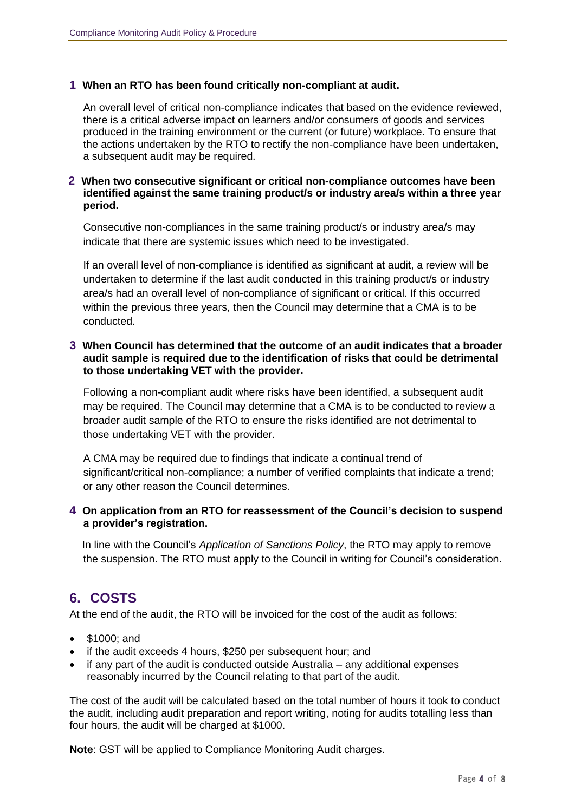#### **1 When an RTO has been found critically non-compliant at audit.**

An overall level of critical non-compliance indicates that based on the evidence reviewed, there is a critical adverse impact on learners and/or consumers of goods and services produced in the training environment or the current (or future) workplace. To ensure that the actions undertaken by the RTO to rectify the non-compliance have been undertaken, a subsequent audit may be required.

#### **2 When two consecutive significant or critical non-compliance outcomes have been identified against the same training product/s or industry area/s within a three year period.**

Consecutive non-compliances in the same training product/s or industry area/s may indicate that there are systemic issues which need to be investigated.

If an overall level of non-compliance is identified as significant at audit, a review will be undertaken to determine if the last audit conducted in this training product/s or industry area/s had an overall level of non-compliance of significant or critical. If this occurred within the previous three years, then the Council may determine that a CMA is to be conducted.

#### **3 When Council has determined that the outcome of an audit indicates that a broader audit sample is required due to the identification of risks that could be detrimental to those undertaking VET with the provider.**

Following a non-compliant audit where risks have been identified, a subsequent audit may be required. The Council may determine that a CMA is to be conducted to review a broader audit sample of the RTO to ensure the risks identified are not detrimental to those undertaking VET with the provider.

A CMA may be required due to findings that indicate a continual trend of significant/critical non-compliance; a number of verified complaints that indicate a trend; or any other reason the Council determines.

#### **4 On application from an RTO for reassessment of the Council's decision to suspend a provider's registration.**

In line with the Council's *Application of Sanctions Policy*, the RTO may apply to remove the suspension. The RTO must apply to the Council in writing for Council's consideration.

## **6. COSTS**

At the end of the audit, the RTO will be invoiced for the cost of the audit as follows:

- \$1000; and
- if the audit exceeds 4 hours, \$250 per subsequent hour; and
- if any part of the audit is conducted outside Australia any additional expenses reasonably incurred by the Council relating to that part of the audit.

The cost of the audit will be calculated based on the total number of hours it took to conduct the audit, including audit preparation and report writing, noting for audits totalling less than four hours, the audit will be charged at \$1000.

**Note**: GST will be applied to Compliance Monitoring Audit charges.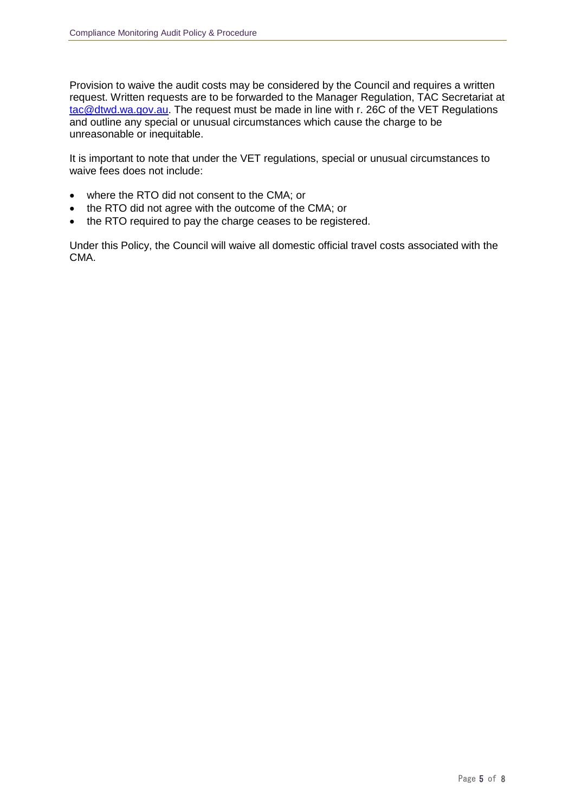Provision to waive the audit costs may be considered by the Council and requires a written request. Written requests are to be forwarded to the Manager Regulation, TAC Secretariat at [tac@dtwd.wa.gov.au.](mailto:tac@dtwd.wa.gov.au) The request must be made in line with r. 26C of the VET Regulations and outline any special or unusual circumstances which cause the charge to be unreasonable or inequitable.

It is important to note that under the VET regulations, special or unusual circumstances to waive fees does not include:

- where the RTO did not consent to the CMA; or
- the RTO did not agree with the outcome of the CMA; or
- the RTO required to pay the charge ceases to be registered.

Under this Policy, the Council will waive all domestic official travel costs associated with the CMA.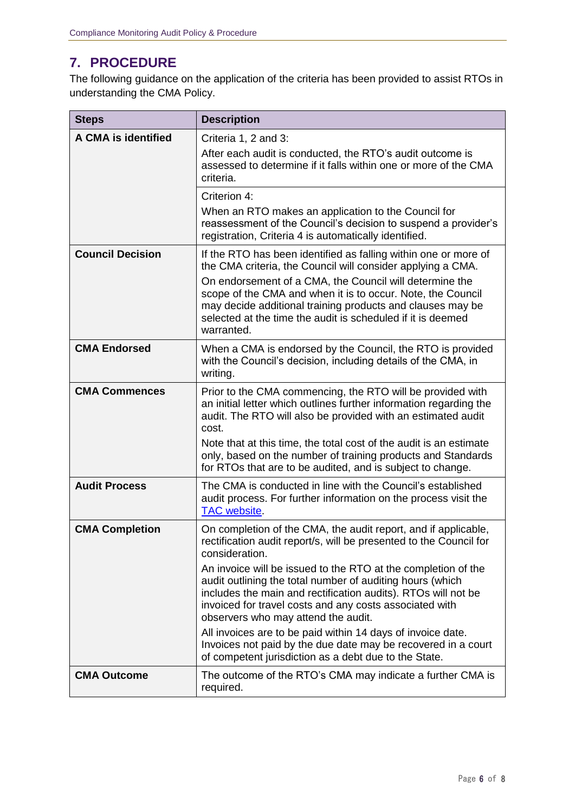## **7. PROCEDURE**

The following guidance on the application of the criteria has been provided to assist RTOs in understanding the CMA Policy.

| <b>Steps</b>               | <b>Description</b>                                                                                                                                                                                                                                                                                                                              |
|----------------------------|-------------------------------------------------------------------------------------------------------------------------------------------------------------------------------------------------------------------------------------------------------------------------------------------------------------------------------------------------|
| <b>A CMA is identified</b> | Criteria 1, 2 and 3:<br>After each audit is conducted, the RTO's audit outcome is<br>assessed to determine if it falls within one or more of the CMA<br>criteria.                                                                                                                                                                               |
|                            | Criterion 4:<br>When an RTO makes an application to the Council for                                                                                                                                                                                                                                                                             |
|                            | reassessment of the Council's decision to suspend a provider's<br>registration, Criteria 4 is automatically identified.                                                                                                                                                                                                                         |
| <b>Council Decision</b>    | If the RTO has been identified as falling within one or more of<br>the CMA criteria, the Council will consider applying a CMA.                                                                                                                                                                                                                  |
|                            | On endorsement of a CMA, the Council will determine the<br>scope of the CMA and when it is to occur. Note, the Council<br>may decide additional training products and clauses may be<br>selected at the time the audit is scheduled if it is deemed<br>warranted.                                                                               |
| <b>CMA Endorsed</b>        | When a CMA is endorsed by the Council, the RTO is provided<br>with the Council's decision, including details of the CMA, in<br>writing.                                                                                                                                                                                                         |
| <b>CMA Commences</b>       | Prior to the CMA commencing, the RTO will be provided with<br>an initial letter which outlines further information regarding the<br>audit. The RTO will also be provided with an estimated audit<br>cost.<br>Note that at this time, the total cost of the audit is an estimate<br>only, based on the number of training products and Standards |
|                            | for RTOs that are to be audited, and is subject to change.                                                                                                                                                                                                                                                                                      |
| <b>Audit Process</b>       | The CMA is conducted in line with the Council's established<br>audit process. For further information on the process visit the<br><b>TAC</b> website.                                                                                                                                                                                           |
| <b>CMA Completion</b>      | On completion of the CMA, the audit report, and if applicable,<br>rectification audit report/s, will be presented to the Council for<br>consideration.                                                                                                                                                                                          |
|                            | An invoice will be issued to the RTO at the completion of the<br>audit outlining the total number of auditing hours (which<br>includes the main and rectification audits). RTOs will not be<br>invoiced for travel costs and any costs associated with<br>observers who may attend the audit.                                                   |
|                            | All invoices are to be paid within 14 days of invoice date.<br>Invoices not paid by the due date may be recovered in a court<br>of competent jurisdiction as a debt due to the State.                                                                                                                                                           |
| <b>CMA Outcome</b>         | The outcome of the RTO's CMA may indicate a further CMA is<br>required.                                                                                                                                                                                                                                                                         |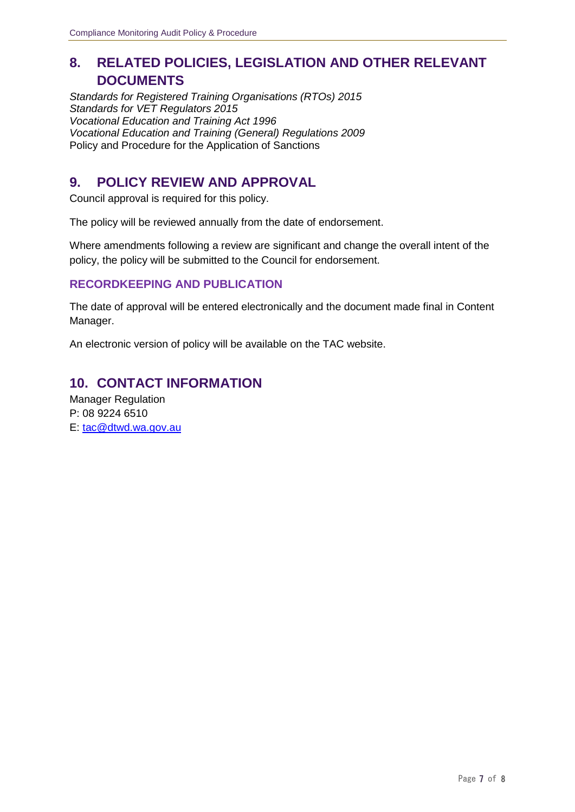## **8. RELATED POLICIES, LEGISLATION AND OTHER RELEVANT DOCUMENTS**

*Standards for Registered Training Organisations (RTOs) 2015 Standards for VET Regulators 2015 Vocational Education and Training Act 1996 Vocational Education and Training (General) Regulations 2009* Policy and Procedure for the Application of Sanctions

## **9. POLICY REVIEW AND APPROVAL**

Council approval is required for this policy.

The policy will be reviewed annually from the date of endorsement.

Where amendments following a review are significant and change the overall intent of the policy, the policy will be submitted to the Council for endorsement.

#### **RECORDKEEPING AND PUBLICATION**

The date of approval will be entered electronically and the document made final in Content Manager.

An electronic version of policy will be available on the TAC website.

## **10. CONTACT INFORMATION**

Manager Regulation P: 08 9224 6510 E: [tac@dtwd.wa.gov.au](mailto:tac@dtwd.wa.gov.au)